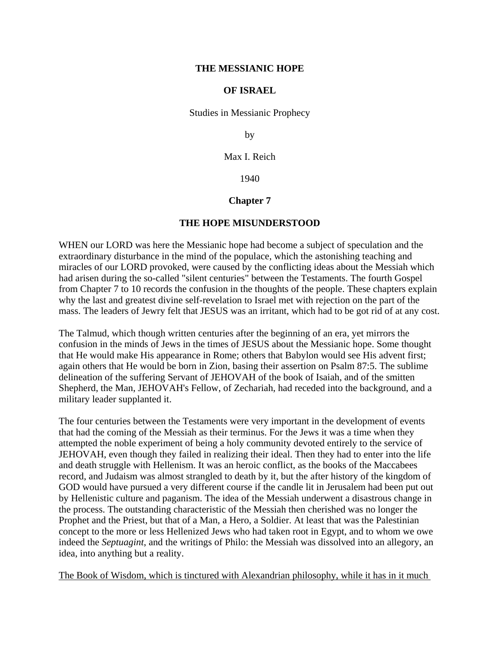### **THE MESSIANIC HOPE**

### **OF ISRAEL**

Studies in Messianic Prophecy

by

Max I. Reich

1940

# **Chapter 7**

# **THE HOPE MISUNDERSTOOD**

WHEN our LORD was here the Messianic hope had become a subject of speculation and the extraordinary disturbance in the mind of the populace, which the astonishing teaching and miracles of our LORD provoked, were caused by the conflicting ideas about the Messiah which had arisen during the so-called "silent centuries" between the Testaments. The fourth Gospel from Chapter 7 to 10 records the confusion in the thoughts of the people. These chapters explain why the last and greatest divine self-revelation to Israel met with rejection on the part of the mass. The leaders of Jewry felt that JESUS was an irritant, which had to be got rid of at any cost.

The Talmud, which though written centuries after the beginning of an era, yet mirrors the confusion in the minds of Jews in the times of JESUS about the Messianic hope. Some thought that He would make His appearance in Rome; others that Babylon would see His advent first; again others that He would be born in Zion, basing their assertion on Psalm 87:5. The sublime delineation of the suffering Servant of JEHOVAH of the book of Isaiah, and of the smitten Shepherd, the Man, JEHOVAH's Fellow, of Zechariah, had receded into the background, and a military leader supplanted it.

The four centuries between the Testaments were very important in the development of events that had the coming of the Messiah as their terminus. For the Jews it was a time when they attempted the noble experiment of being a holy community devoted entirely to the service of JEHOVAH, even though they failed in realizing their ideal. Then they had to enter into the life and death struggle with Hellenism. It was an heroic conflict, as the books of the Maccabees record, and Judaism was almost strangled to death by it, but the after history of the kingdom of GOD would have pursued a very different course if the candle lit in Jerusalem had been put out by Hellenistic culture and paganism. The idea of the Messiah underwent a disastrous change in the process. The outstanding characteristic of the Messiah then cherished was no longer the Prophet and the Priest, but that of a Man, a Hero, a Soldier. At least that was the Palestinian concept to the more or less Hellenized Jews who had taken root in Egypt, and to whom we owe indeed the *Septuagint*, and the writings of Philo: the Messiah was dissolved into an allegory, an idea, into anything but a reality.

The Book of Wisdom, which is tinctured with Alexandrian philosophy, while it has in it much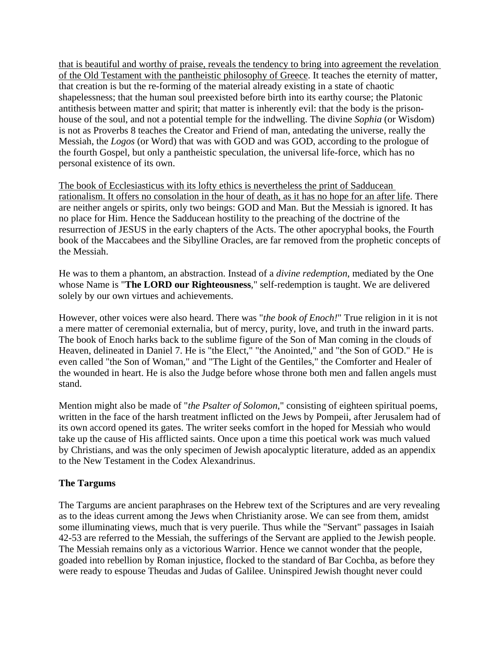that is beautiful and worthy of praise, reveals the tendency to bring into agreement the revelation of the Old Testament with the pantheistic philosophy of Greece. It teaches the eternity of matter, that creation is but the re-forming of the material already existing in a state of chaotic shapelessness; that the human soul preexisted before birth into its earthy course; the Platonic antithesis between matter and spirit; that matter is inherently evil: that the body is the prisonhouse of the soul, and not a potential temple for the indwelling. The divine *Sophia* (or Wisdom) is not as Proverbs 8 teaches the Creator and Friend of man, antedating the universe, really the Messiah, the *Logos* (or Word) that was with GOD and was GOD, according to the prologue of the fourth Gospel, but only a pantheistic speculation, the universal life-force, which has no personal existence of its own.

The book of Ecclesiasticus with its lofty ethics is nevertheless the print of Sadducean rationalism. It offers no consolation in the hour of death, as it has no hope for an after life. There are neither angels or spirits, only two beings: GOD and Man. But the Messiah is ignored. It has no place for Him. Hence the Sadducean hostility to the preaching of the doctrine of the resurrection of JESUS in the early chapters of the Acts. The other apocryphal books, the Fourth book of the Maccabees and the Sibylline Oracles, are far removed from the prophetic concepts of the Messiah.

He was to them a phantom, an abstraction. Instead of a *divine redemption*, mediated by the One whose Name is "**The LORD our Righteousness**," self-redemption is taught. We are delivered solely by our own virtues and achievements.

However, other voices were also heard. There was "*the book of Enoch!*" True religion in it is not a mere matter of ceremonial externalia, but of mercy, purity, love, and truth in the inward parts. The book of Enoch harks back to the sublime figure of the Son of Man coming in the clouds of Heaven, delineated in Daniel 7. He is "the Elect," "the Anointed," and "the Son of GOD." He is even called "the Son of Woman," and "The Light of the Gentiles," the Comforter and Healer of the wounded in heart. He is also the Judge before whose throne both men and fallen angels must stand.

Mention might also be made of "*the Psalter of Solomon*," consisting of eighteen spiritual poems, written in the face of the harsh treatment inflicted on the Jews by Pompeii, after Jerusalem had of its own accord opened its gates. The writer seeks comfort in the hoped for Messiah who would take up the cause of His afflicted saints. Once upon a time this poetical work was much valued by Christians, and was the only specimen of Jewish apocalyptic literature, added as an appendix to the New Testament in the Codex Alexandrinus.

# **The Targums**

The Targums are ancient paraphrases on the Hebrew text of the Scriptures and are very revealing as to the ideas current among the Jews when Christianity arose. We can see from them, amidst some illuminating views, much that is very puerile. Thus while the "Servant" passages in Isaiah 42-53 are referred to the Messiah, the sufferings of the Servant are applied to the Jewish people. The Messiah remains only as a victorious Warrior. Hence we cannot wonder that the people, goaded into rebellion by Roman injustice, flocked to the standard of Bar Cochba, as before they were ready to espouse Theudas and Judas of Galilee. Uninspired Jewish thought never could